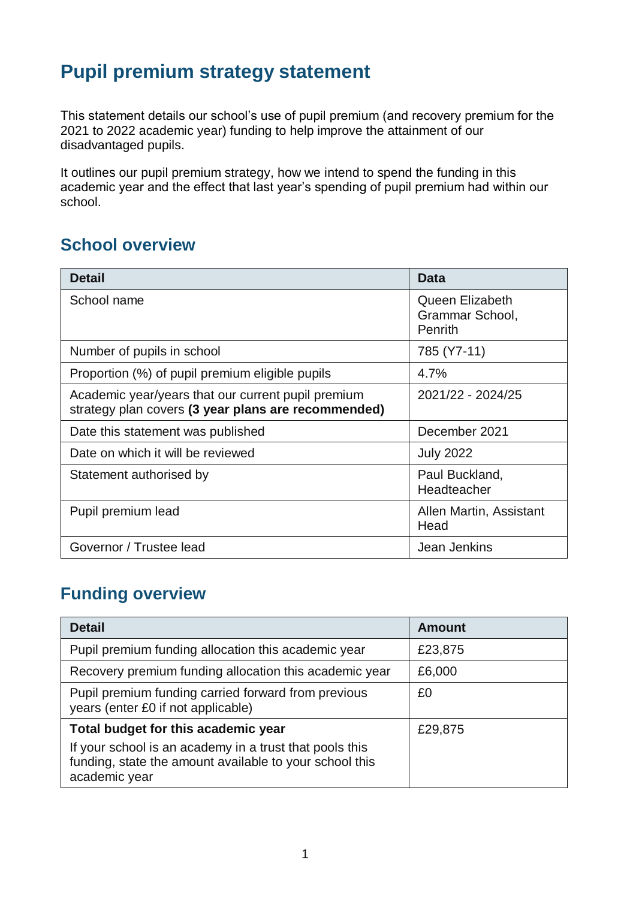# **Pupil premium strategy statement**

This statement details our school's use of pupil premium (and recovery premium for the 2021 to 2022 academic year) funding to help improve the attainment of our disadvantaged pupils.

It outlines our pupil premium strategy, how we intend to spend the funding in this academic year and the effect that last year's spending of pupil premium had within our school.

### **School overview**

| <b>Detail</b>                                                                                             | Data                                                 |
|-----------------------------------------------------------------------------------------------------------|------------------------------------------------------|
| School name                                                                                               | Queen Elizabeth<br>Grammar School,<br><b>Penrith</b> |
| Number of pupils in school                                                                                | 785 (Y7-11)                                          |
| Proportion (%) of pupil premium eligible pupils                                                           | 4.7%                                                 |
| Academic year/years that our current pupil premium<br>strategy plan covers (3 year plans are recommended) | 2021/22 - 2024/25                                    |
| Date this statement was published                                                                         | December 2021                                        |
| Date on which it will be reviewed                                                                         | <b>July 2022</b>                                     |
| Statement authorised by                                                                                   | Paul Buckland,<br>Headteacher                        |
| Pupil premium lead                                                                                        | Allen Martin, Assistant<br>Head                      |
| Governor / Trustee lead                                                                                   | Jean Jenkins                                         |

### **Funding overview**

| <b>Detail</b>                                                                                                                       | Amount  |
|-------------------------------------------------------------------------------------------------------------------------------------|---------|
| Pupil premium funding allocation this academic year                                                                                 | £23,875 |
| Recovery premium funding allocation this academic year                                                                              | £6,000  |
| Pupil premium funding carried forward from previous<br>years (enter £0 if not applicable)                                           | £0      |
| Total budget for this academic year                                                                                                 | £29,875 |
| If your school is an academy in a trust that pools this<br>funding, state the amount available to your school this<br>academic year |         |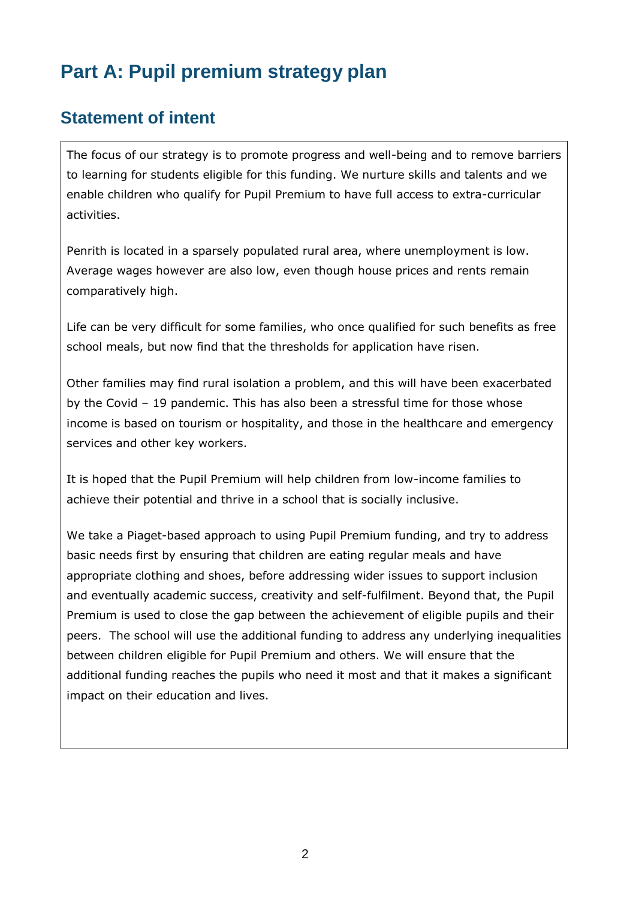# **Part A: Pupil premium strategy plan**

### **Statement of intent**

The focus of our strategy is to promote progress and well-being and to remove barriers to learning for students eligible for this funding. We nurture skills and talents and we enable children who qualify for Pupil Premium to have full access to extra-curricular activities.

Penrith is located in a sparsely populated rural area, where unemployment is low. Average wages however are also low, even though house prices and rents remain comparatively high.

Life can be very difficult for some families, who once qualified for such benefits as free school meals, but now find that the thresholds for application have risen.

Other families may find rural isolation a problem, and this will have been exacerbated by the Covid – 19 pandemic. This has also been a stressful time for those whose income is based on tourism or hospitality, and those in the healthcare and emergency services and other key workers.

It is hoped that the Pupil Premium will help children from low-income families to achieve their potential and thrive in a school that is socially inclusive.

We take a Piaget-based approach to using Pupil Premium funding, and try to address basic needs first by ensuring that children are eating regular meals and have appropriate clothing and shoes, before addressing wider issues to support inclusion and eventually academic success, creativity and self-fulfilment. Beyond that, the Pupil Premium is used to close the gap between the achievement of eligible pupils and their peers. The school will use the additional funding to address any underlying inequalities between children eligible for Pupil Premium and others. We will ensure that the additional funding reaches the pupils who need it most and that it makes a significant impact on their education and lives.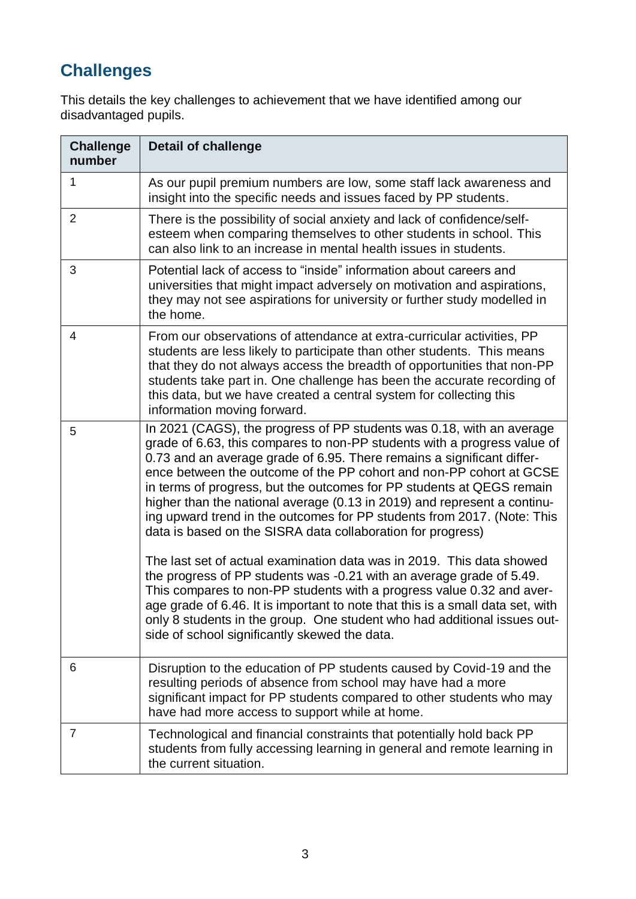## **Challenges**

This details the key challenges to achievement that we have identified among our disadvantaged pupils.

| <b>Challenge</b><br>number | <b>Detail of challenge</b>                                                                                                                                                                                                                                                                                                                                                                                                                                                                                                                                                                        |
|----------------------------|---------------------------------------------------------------------------------------------------------------------------------------------------------------------------------------------------------------------------------------------------------------------------------------------------------------------------------------------------------------------------------------------------------------------------------------------------------------------------------------------------------------------------------------------------------------------------------------------------|
| 1                          | As our pupil premium numbers are low, some staff lack awareness and<br>insight into the specific needs and issues faced by PP students.                                                                                                                                                                                                                                                                                                                                                                                                                                                           |
| $\overline{2}$             | There is the possibility of social anxiety and lack of confidence/self-<br>esteem when comparing themselves to other students in school. This<br>can also link to an increase in mental health issues in students.                                                                                                                                                                                                                                                                                                                                                                                |
| 3                          | Potential lack of access to "inside" information about careers and<br>universities that might impact adversely on motivation and aspirations,<br>they may not see aspirations for university or further study modelled in<br>the home.                                                                                                                                                                                                                                                                                                                                                            |
| 4                          | From our observations of attendance at extra-curricular activities, PP<br>students are less likely to participate than other students. This means<br>that they do not always access the breadth of opportunities that non-PP<br>students take part in. One challenge has been the accurate recording of<br>this data, but we have created a central system for collecting this<br>information moving forward.                                                                                                                                                                                     |
| 5                          | In 2021 (CAGS), the progress of PP students was 0.18, with an average<br>grade of 6.63, this compares to non-PP students with a progress value of<br>0.73 and an average grade of 6.95. There remains a significant differ-<br>ence between the outcome of the PP cohort and non-PP cohort at GCSE<br>in terms of progress, but the outcomes for PP students at QEGS remain<br>higher than the national average (0.13 in 2019) and represent a continu-<br>ing upward trend in the outcomes for PP students from 2017. (Note: This<br>data is based on the SISRA data collaboration for progress) |
|                            | The last set of actual examination data was in 2019. This data showed<br>the progress of PP students was -0.21 with an average grade of 5.49.<br>This compares to non-PP students with a progress value 0.32 and aver-<br>age grade of 6.46. It is important to note that this is a small data set, with<br>only 8 students in the group. One student who had additional issues out-<br>side of school significantly skewed the data.                                                                                                                                                             |
| 6                          | Disruption to the education of PP students caused by Covid-19 and the<br>resulting periods of absence from school may have had a more<br>significant impact for PP students compared to other students who may<br>have had more access to support while at home.                                                                                                                                                                                                                                                                                                                                  |
| 7                          | Technological and financial constraints that potentially hold back PP<br>students from fully accessing learning in general and remote learning in<br>the current situation.                                                                                                                                                                                                                                                                                                                                                                                                                       |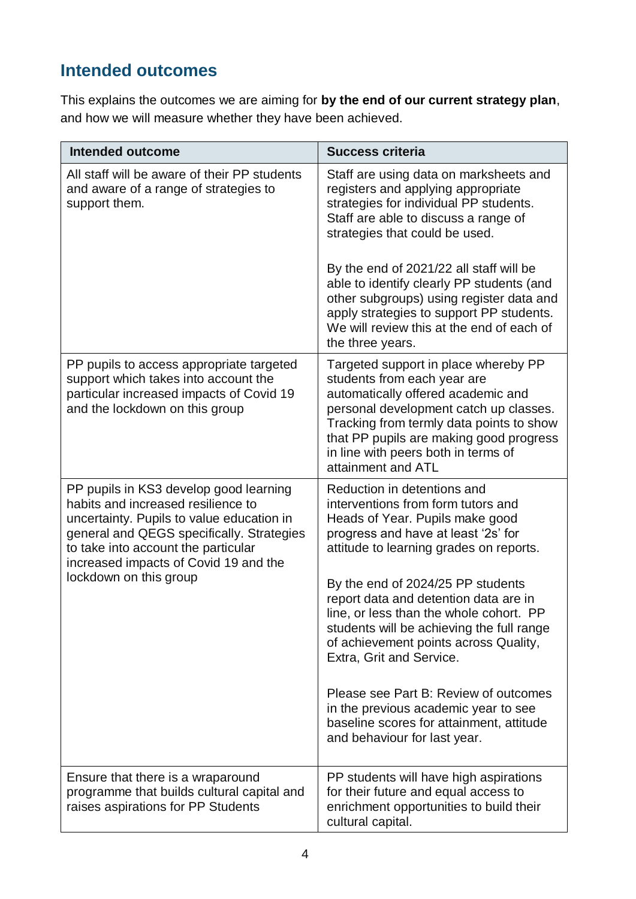### **Intended outcomes**

This explains the outcomes we are aiming for **by the end of our current strategy plan**, and how we will measure whether they have been achieved.

| <b>Intended outcome</b>                                                                                                                                                                                                                                                          | <b>Success criteria</b>                                                                                                                                                                                                                                                                                                                                                                                                                                                                                                                                                                        |
|----------------------------------------------------------------------------------------------------------------------------------------------------------------------------------------------------------------------------------------------------------------------------------|------------------------------------------------------------------------------------------------------------------------------------------------------------------------------------------------------------------------------------------------------------------------------------------------------------------------------------------------------------------------------------------------------------------------------------------------------------------------------------------------------------------------------------------------------------------------------------------------|
| All staff will be aware of their PP students<br>and aware of a range of strategies to<br>support them.                                                                                                                                                                           | Staff are using data on marksheets and<br>registers and applying appropriate<br>strategies for individual PP students.<br>Staff are able to discuss a range of<br>strategies that could be used.<br>By the end of 2021/22 all staff will be<br>able to identify clearly PP students (and<br>other subgroups) using register data and<br>apply strategies to support PP students.<br>We will review this at the end of each of                                                                                                                                                                  |
| PP pupils to access appropriate targeted<br>support which takes into account the<br>particular increased impacts of Covid 19<br>and the lockdown on this group                                                                                                                   | the three years.<br>Targeted support in place whereby PP<br>students from each year are<br>automatically offered academic and<br>personal development catch up classes.<br>Tracking from termly data points to show<br>that PP pupils are making good progress<br>in line with peers both in terms of<br>attainment and ATL                                                                                                                                                                                                                                                                    |
| PP pupils in KS3 develop good learning<br>habits and increased resilience to<br>uncertainty. Pupils to value education in<br>general and QEGS specifically. Strategies<br>to take into account the particular<br>increased impacts of Covid 19 and the<br>lockdown on this group | Reduction in detentions and<br>interventions from form tutors and<br>Heads of Year. Pupils make good<br>progress and have at least '2s' for<br>attitude to learning grades on reports.<br>By the end of 2024/25 PP students<br>report data and detention data are in<br>line, or less than the whole cohort. PP<br>students will be achieving the full range<br>of achievement points across Quality,<br>Extra, Grit and Service.<br>Please see Part B: Review of outcomes<br>in the previous academic year to see<br>baseline scores for attainment, attitude<br>and behaviour for last year. |
| Ensure that there is a wraparound<br>programme that builds cultural capital and<br>raises aspirations for PP Students                                                                                                                                                            | PP students will have high aspirations<br>for their future and equal access to<br>enrichment opportunities to build their<br>cultural capital.                                                                                                                                                                                                                                                                                                                                                                                                                                                 |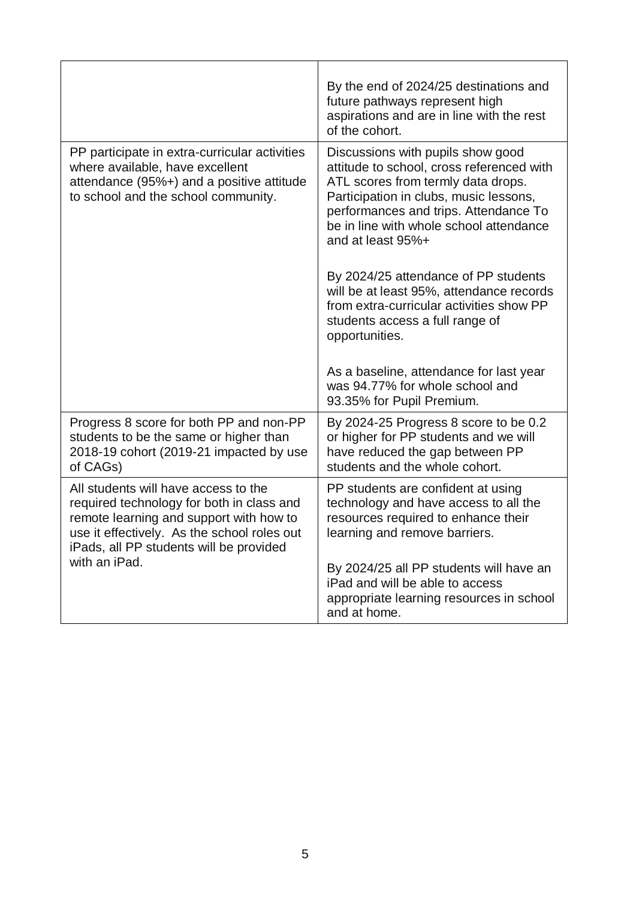|                                                                                                                                                                                                                        | By the end of 2024/25 destinations and<br>future pathways represent high<br>aspirations and are in line with the rest<br>of the cohort.                                                                                                                                 |
|------------------------------------------------------------------------------------------------------------------------------------------------------------------------------------------------------------------------|-------------------------------------------------------------------------------------------------------------------------------------------------------------------------------------------------------------------------------------------------------------------------|
| PP participate in extra-curricular activities<br>where available, have excellent<br>attendance (95%+) and a positive attitude<br>to school and the school community.                                                   | Discussions with pupils show good<br>attitude to school, cross referenced with<br>ATL scores from termly data drops.<br>Participation in clubs, music lessons,<br>performances and trips. Attendance To<br>be in line with whole school attendance<br>and at least 95%+ |
|                                                                                                                                                                                                                        | By 2024/25 attendance of PP students<br>will be at least 95%, attendance records<br>from extra-curricular activities show PP<br>students access a full range of<br>opportunities.                                                                                       |
|                                                                                                                                                                                                                        | As a baseline, attendance for last year<br>was 94.77% for whole school and<br>93.35% for Pupil Premium.                                                                                                                                                                 |
| Progress 8 score for both PP and non-PP<br>students to be the same or higher than<br>2018-19 cohort (2019-21 impacted by use<br>of CAGs)                                                                               | By 2024-25 Progress 8 score to be 0.2<br>or higher for PP students and we will<br>have reduced the gap between PP<br>students and the whole cohort.                                                                                                                     |
| All students will have access to the<br>required technology for both in class and<br>remote learning and support with how to<br>use it effectively. As the school roles out<br>iPads, all PP students will be provided | PP students are confident at using<br>technology and have access to all the<br>resources required to enhance their<br>learning and remove barriers.                                                                                                                     |
| with an iPad.                                                                                                                                                                                                          | By 2024/25 all PP students will have an<br>iPad and will be able to access<br>appropriate learning resources in school<br>and at home.                                                                                                                                  |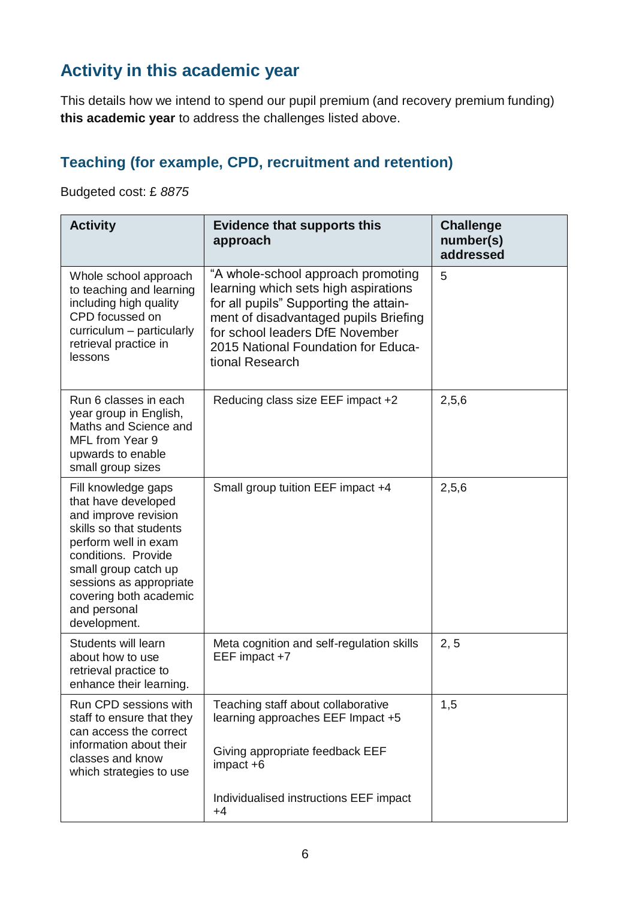# **Activity in this academic year**

This details how we intend to spend our pupil premium (and recovery premium funding) **this academic year** to address the challenges listed above.

### **Teaching (for example, CPD, recruitment and retention)**

Budgeted cost: £ *8875*

| <b>Activity</b>                                                                                                                                                                                                                                           | <b>Evidence that supports this</b><br>approach                                                                                                                                                                                                             | <b>Challenge</b><br>number(s)<br>addressed |
|-----------------------------------------------------------------------------------------------------------------------------------------------------------------------------------------------------------------------------------------------------------|------------------------------------------------------------------------------------------------------------------------------------------------------------------------------------------------------------------------------------------------------------|--------------------------------------------|
| Whole school approach<br>to teaching and learning<br>including high quality<br>CPD focussed on<br>curriculum - particularly<br>retrieval practice in<br>lessons                                                                                           | "A whole-school approach promoting<br>learning which sets high aspirations<br>for all pupils" Supporting the attain-<br>ment of disadvantaged pupils Briefing<br>for school leaders DfE November<br>2015 National Foundation for Educa-<br>tional Research | 5                                          |
| Run 6 classes in each<br>year group in English,<br>Maths and Science and<br>MFL from Year 9<br>upwards to enable<br>small group sizes                                                                                                                     | Reducing class size EEF impact +2                                                                                                                                                                                                                          | 2,5,6                                      |
| Fill knowledge gaps<br>that have developed<br>and improve revision<br>skills so that students<br>perform well in exam<br>conditions. Provide<br>small group catch up<br>sessions as appropriate<br>covering both academic<br>and personal<br>development. | Small group tuition EEF impact +4                                                                                                                                                                                                                          | 2,5,6                                      |
| Students will learn<br>about how to use<br>retrieval practice to<br>enhance their learning.                                                                                                                                                               | Meta cognition and self-regulation skills<br>EEF impact +7                                                                                                                                                                                                 | 2, 5                                       |
| Run CPD sessions with<br>staff to ensure that they<br>can access the correct<br>information about their<br>classes and know<br>which strategies to use                                                                                                    | Teaching staff about collaborative<br>learning approaches EEF Impact +5<br>Giving appropriate feedback EEF<br>impact +6                                                                                                                                    | 1,5                                        |
|                                                                                                                                                                                                                                                           | Individualised instructions EEF impact<br>$+4$                                                                                                                                                                                                             |                                            |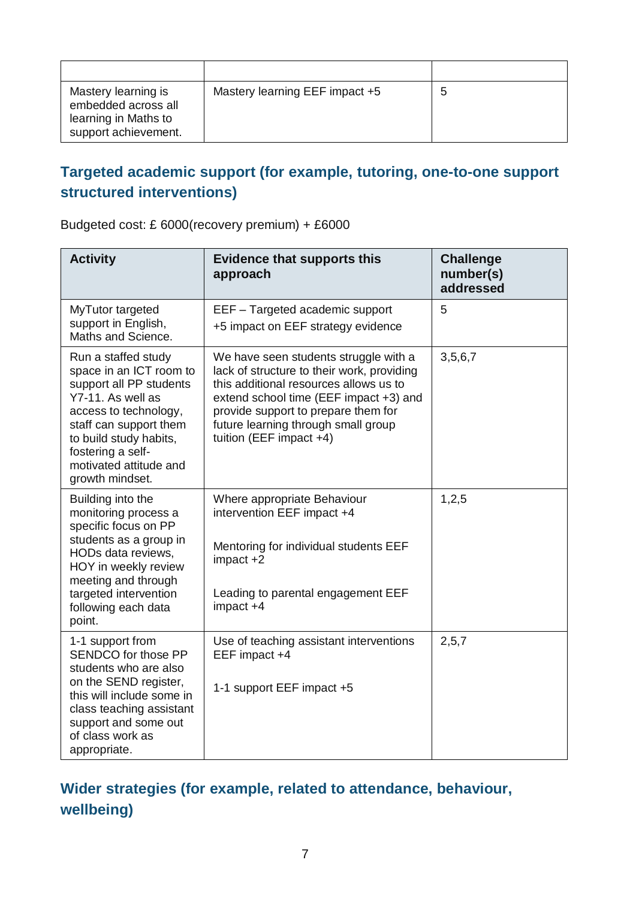| Mastery learning is<br>embedded across all<br>learning in Maths to<br>support achievement. | Mastery learning EEF impact +5 | 5 |
|--------------------------------------------------------------------------------------------|--------------------------------|---|

#### **Targeted academic support (for example, tutoring, one-to-one support structured interventions)**

Budgeted cost: £ 6000(recovery premium) + £6000

| <b>Activity</b>                                                                                                                                                                                                                               | <b>Evidence that supports this</b><br>approach                                                                                                                                                                                                                                      | <b>Challenge</b><br>number(s)<br>addressed |
|-----------------------------------------------------------------------------------------------------------------------------------------------------------------------------------------------------------------------------------------------|-------------------------------------------------------------------------------------------------------------------------------------------------------------------------------------------------------------------------------------------------------------------------------------|--------------------------------------------|
| MyTutor targeted<br>support in English,<br>Maths and Science.                                                                                                                                                                                 | EEF - Targeted academic support<br>+5 impact on EEF strategy evidence                                                                                                                                                                                                               | 5                                          |
| Run a staffed study<br>space in an ICT room to<br>support all PP students<br>Y7-11. As well as<br>access to technology,<br>staff can support them<br>to build study habits,<br>fostering a self-<br>motivated attitude and<br>growth mindset. | We have seen students struggle with a<br>lack of structure to their work, providing<br>this additional resources allows us to<br>extend school time (EEF impact +3) and<br>provide support to prepare them for<br>future learning through small group<br>tuition (EEF impact $+4$ ) | 3,5,6,7                                    |
| Building into the<br>monitoring process a<br>specific focus on PP<br>students as a group in<br>HODs data reviews,<br>HOY in weekly review<br>meeting and through<br>targeted intervention<br>following each data<br>point.                    | Where appropriate Behaviour<br>intervention EEF impact +4<br>Mentoring for individual students EEF<br>impact +2<br>Leading to parental engagement EEF<br>impact +4                                                                                                                  | 1,2,5                                      |
| 1-1 support from<br>SENDCO for those PP<br>students who are also<br>on the SEND register,<br>this will include some in<br>class teaching assistant<br>support and some out<br>of class work as<br>appropriate.                                | Use of teaching assistant interventions<br>EEF impact +4<br>1-1 support EEF impact +5                                                                                                                                                                                               | 2,5,7                                      |

### **Wider strategies (for example, related to attendance, behaviour, wellbeing)**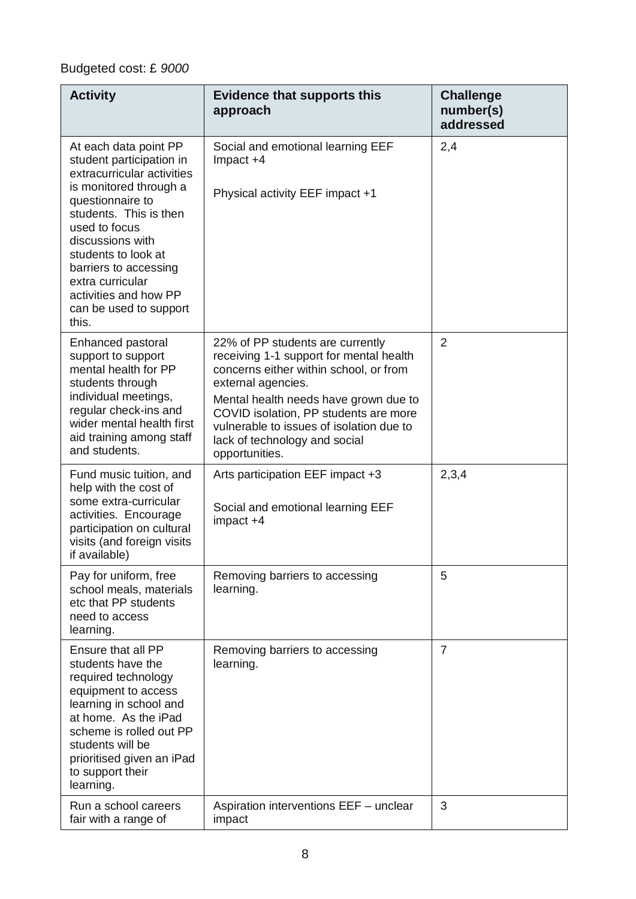### Budgeted cost: £ *9000*

| <b>Activity</b>                                                                                                                                                                                                                                                                                                              | <b>Evidence that supports this</b><br>approach                                                                                                                                                                                                                                                                               | <b>Challenge</b><br>number(s)<br>addressed |
|------------------------------------------------------------------------------------------------------------------------------------------------------------------------------------------------------------------------------------------------------------------------------------------------------------------------------|------------------------------------------------------------------------------------------------------------------------------------------------------------------------------------------------------------------------------------------------------------------------------------------------------------------------------|--------------------------------------------|
| At each data point PP<br>student participation in<br>extracurricular activities<br>is monitored through a<br>questionnaire to<br>students. This is then<br>used to focus<br>discussions with<br>students to look at<br>barriers to accessing<br>extra curricular<br>activities and how PP<br>can be used to support<br>this. | Social and emotional learning EEF<br>Impact +4<br>Physical activity EEF impact +1                                                                                                                                                                                                                                            | 2,4                                        |
| Enhanced pastoral<br>support to support<br>mental health for PP<br>students through<br>individual meetings,<br>regular check-ins and<br>wider mental health first<br>aid training among staff<br>and students.                                                                                                               | 22% of PP students are currently<br>receiving 1-1 support for mental health<br>concerns either within school, or from<br>external agencies.<br>Mental health needs have grown due to<br>COVID isolation, PP students are more<br>vulnerable to issues of isolation due to<br>lack of technology and social<br>opportunities. | $\overline{2}$                             |
| Fund music tuition, and<br>help with the cost of<br>some extra-curricular<br>activities. Encourage<br>participation on cultural<br>visits (and foreign visits<br>if available)                                                                                                                                               | Arts participation EEF impact +3<br>Social and emotional learning EEF<br>impact +4                                                                                                                                                                                                                                           | 2,3,4                                      |
| Pay for uniform, free<br>school meals, materials<br>etc that PP students<br>need to access<br>learning.                                                                                                                                                                                                                      | Removing barriers to accessing<br>learning.                                                                                                                                                                                                                                                                                  | 5                                          |
| Ensure that all PP<br>students have the<br>required technology<br>equipment to access<br>learning in school and<br>at home. As the iPad<br>scheme is rolled out PP<br>students will be<br>prioritised given an iPad<br>to support their<br>learning.                                                                         | Removing barriers to accessing<br>learning.                                                                                                                                                                                                                                                                                  | $\overline{7}$                             |
| Run a school careers<br>fair with a range of                                                                                                                                                                                                                                                                                 | Aspiration interventions EEF - unclear<br>impact                                                                                                                                                                                                                                                                             | 3                                          |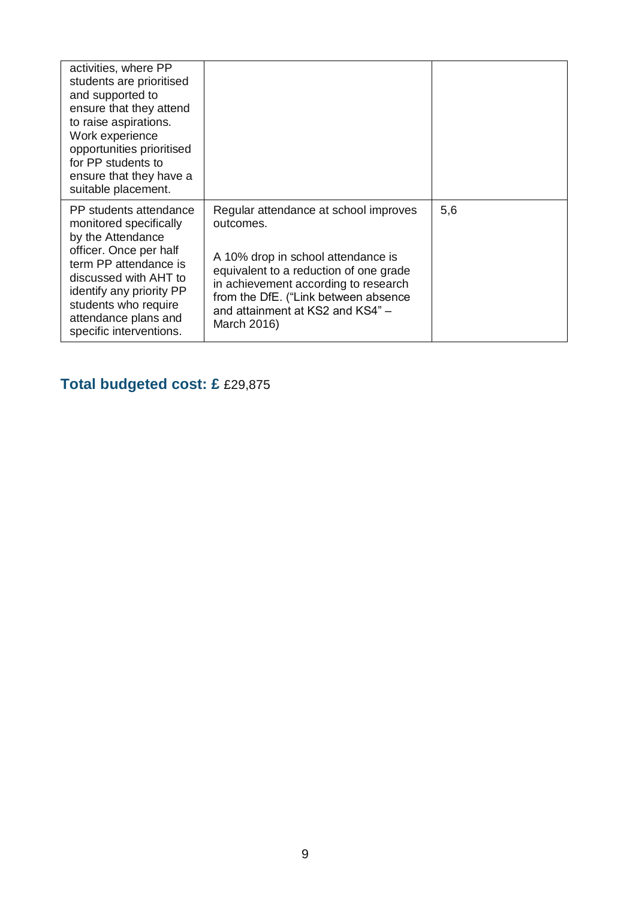| activities, where PP<br>students are prioritised<br>and supported to<br>ensure that they attend<br>to raise aspirations.<br>Work experience<br>opportunities prioritised<br>for PP students to<br>ensure that they have a<br>suitable placement.         |                                                                                                                                                                                                                                                                       |     |
|----------------------------------------------------------------------------------------------------------------------------------------------------------------------------------------------------------------------------------------------------------|-----------------------------------------------------------------------------------------------------------------------------------------------------------------------------------------------------------------------------------------------------------------------|-----|
| PP students attendance<br>monitored specifically<br>by the Attendance<br>officer. Once per half<br>term PP attendance is<br>discussed with AHT to<br>identify any priority PP<br>students who require<br>attendance plans and<br>specific interventions. | Regular attendance at school improves<br>outcomes.<br>A 10% drop in school attendance is<br>equivalent to a reduction of one grade<br>in achievement according to research<br>from the DfE. ("Link between absence<br>and attainment at KS2 and KS4" -<br>March 2016) | 5,6 |

## **Total budgeted cost: £** £29,875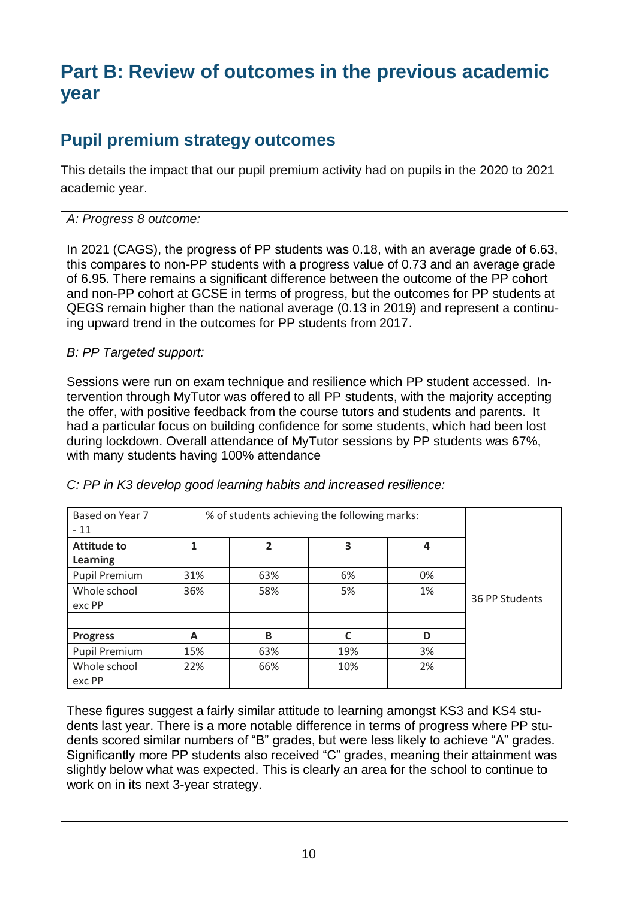# **Part B: Review of outcomes in the previous academic year**

### **Pupil premium strategy outcomes**

This details the impact that our pupil premium activity had on pupils in the 2020 to 2021 academic year.

#### *A: Progress 8 outcome:*

In 2021 (CAGS), the progress of PP students was 0.18, with an average grade of 6.63, this compares to non-PP students with a progress value of 0.73 and an average grade of 6.95. There remains a significant difference between the outcome of the PP cohort and non-PP cohort at GCSE in terms of progress, but the outcomes for PP students at QEGS remain higher than the national average (0.13 in 2019) and represent a continuing upward trend in the outcomes for PP students from 2017.

#### *B: PP Targeted support:*

Sessions were run on exam technique and resilience which PP student accessed. Intervention through MyTutor was offered to all PP students, with the majority accepting the offer, with positive feedback from the course tutors and students and parents. It had a particular focus on building confidence for some students, which had been lost during lockdown. Overall attendance of MyTutor sessions by PP students was 67%, with many students having 100% attendance

| Based on Year 7<br>$-11$       |     | % of students achieving the following marks: |     |    |                |
|--------------------------------|-----|----------------------------------------------|-----|----|----------------|
| <b>Attitude to</b><br>Learning |     | $\overline{2}$                               | 3   | 4  |                |
| Pupil Premium                  | 31% | 63%                                          | 6%  | 0% |                |
| Whole school<br>exc PP         | 36% | 58%                                          | 5%  | 1% | 36 PP Students |
| <b>Progress</b>                | A   | B                                            | C   | D  |                |
| Pupil Premium                  | 15% | 63%                                          | 19% | 3% |                |
| Whole school<br>exc PP         | 22% | 66%                                          | 10% | 2% |                |

*C: PP in K3 develop good learning habits and increased resilience:*

These figures suggest a fairly similar attitude to learning amongst KS3 and KS4 students last year. There is a more notable difference in terms of progress where PP students scored similar numbers of "B" grades, but were less likely to achieve "A" grades. Significantly more PP students also received "C" grades, meaning their attainment was slightly below what was expected. This is clearly an area for the school to continue to work on in its next 3-year strategy.